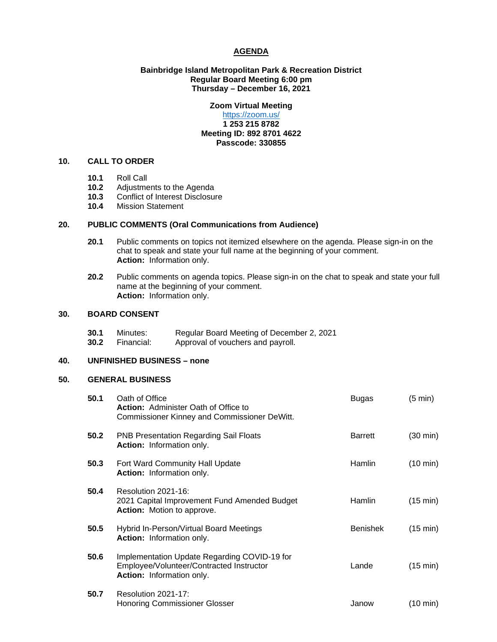### **AGENDA**

### **Bainbridge Island Metropolitan Park & Recreation District Regular Board Meeting 6:00 pm Thursday – December 16, 2021**

# **Zoom Virtual Meeting**

### <https://zoom.us/> **1 253 215 8782 Meeting ID: 892 8701 4622 Passcode: 330855**

# **10. CALL TO ORDER**

- **10.1** Roll Call
- 10.2 Adjustments to the Agenda<br>10.3 Conflict of Interest Disclosur
- 10.3 Conflict of Interest Disclosure<br>10.4 Mission Statement
- **10.4** Mission Statement

# **20. PUBLIC COMMENTS (Oral Communications from Audience)**

- **20.1** Public comments on topics not itemized elsewhere on the agenda. Please sign-in on the chat to speak and state your full name at the beginning of your comment. **Action:** Information only.
- **20.2** Public comments on agenda topics. Please sign-in on the chat to speak and state your full name at the beginning of your comment. **Action:** Information only.

# **30. BOARD CONSENT**

**30.1** Minutes: Regular Board Meeting of December 2, 2021 **30.2** Financial: Approval of vouchers and payroll.

# **40. UNFINISHED BUSINESS – none**

# **50. GENERAL BUSINESS**

| 50.1 | Oath of Office<br><b>Action:</b> Administer Oath of Office to<br>Commissioner Kinney and Commissioner DeWitt.         | Bugas           | $(5 \text{ min})$  |
|------|-----------------------------------------------------------------------------------------------------------------------|-----------------|--------------------|
| 50.2 | <b>PNB Presentation Regarding Sail Floats</b><br>Action: Information only.                                            | <b>Barrett</b>  | $(30 \text{ min})$ |
| 50.3 | Fort Ward Community Hall Update<br><b>Action:</b> Information only.                                                   | Hamlin          | $(10 \text{ min})$ |
| 50.4 | Resolution 2021-16:<br>2021 Capital Improvement Fund Amended Budget<br><b>Action:</b> Motion to approve.              | <b>Hamlin</b>   | (15 min)           |
| 50.5 | Hybrid In-Person/Virtual Board Meetings<br>Action: Information only.                                                  | <b>Benishek</b> | (15 min)           |
| 50.6 | Implementation Update Regarding COVID-19 for<br>Employee/Volunteer/Contracted Instructor<br>Action: Information only. | Lande           | $(15 \text{ min})$ |
| 50.7 | Resolution 2021-17:<br><b>Honoring Commissioner Glosser</b>                                                           | Janow           | (10 min)           |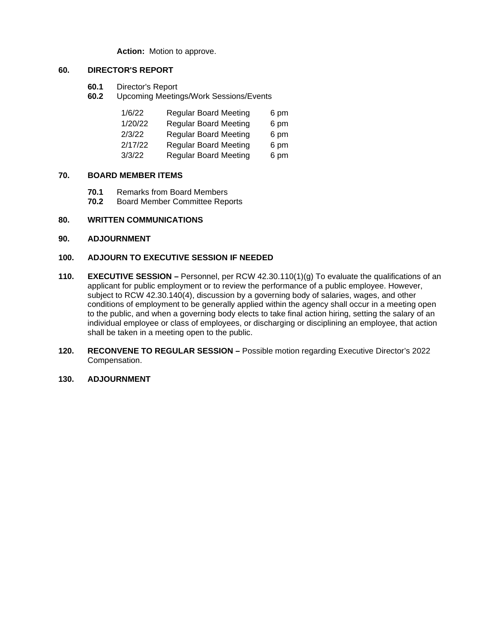**Action:** Motion to approve.

# **60. DIRECTOR'S REPORT**

- **60.1** Director's Report
- **60.2** Upcoming Meetings/Work Sessions/Events

| 1/6/22  | <b>Regular Board Meeting</b> | 6 pm |
|---------|------------------------------|------|
| 1/20/22 | <b>Regular Board Meeting</b> | 6 pm |
| 2/3/22  | <b>Regular Board Meeting</b> | 6 pm |
| 2/17/22 | <b>Regular Board Meeting</b> | 6 pm |
| 3/3/22  | <b>Regular Board Meeting</b> | 6 pm |

# **70. BOARD MEMBER ITEMS**

- **70.1** Remarks from Board Members<br>**70.2** Board Member Committee Rep
- **70.2** Board Member Committee Reports

# **80. WRITTEN COMMUNICATIONS**

### **90. ADJOURNMENT**

#### **100. ADJOURN TO EXECUTIVE SESSION IF NEEDED**

- **110. EXECUTIVE SESSION** Personnel, per RCW 42.30.110(1)(g) To evaluate the qualifications of an applicant for public employment or to review the performance of a public employee. However, subject to RCW 42.30.140(4), discussion by a governing body of salaries, wages, and other conditions of employment to be generally applied within the agency shall occur in a meeting open to the public, and when a governing body elects to take final action hiring, setting the salary of an individual employee or class of employees, or discharging or disciplining an employee, that action shall be taken in a meeting open to the public.
- **120. RECONVENE TO REGULAR SESSION** Possible motion regarding Executive Director's 2022 Compensation.
- **130. ADJOURNMENT**